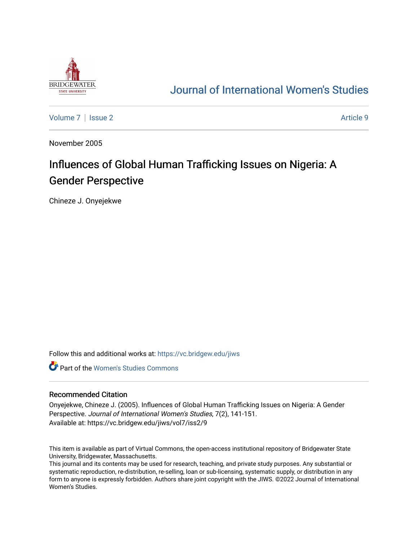

## [Journal of International Women's Studies](https://vc.bridgew.edu/jiws)

[Volume 7](https://vc.bridgew.edu/jiws/vol7) | [Issue 2](https://vc.bridgew.edu/jiws/vol7/iss2) Article 9

November 2005

# Influences of Global Human Trafficking Issues on Nigeria: A Gender Perspective

Chineze J. Onyejekwe

Follow this and additional works at: [https://vc.bridgew.edu/jiws](https://vc.bridgew.edu/jiws?utm_source=vc.bridgew.edu%2Fjiws%2Fvol7%2Fiss2%2F9&utm_medium=PDF&utm_campaign=PDFCoverPages)

**C** Part of the Women's Studies Commons

#### Recommended Citation

Onyejekwe, Chineze J. (2005). Influences of Global Human Trafficking Issues on Nigeria: A Gender Perspective. Journal of International Women's Studies, 7(2), 141-151. Available at: https://vc.bridgew.edu/jiws/vol7/iss2/9

This item is available as part of Virtual Commons, the open-access institutional repository of Bridgewater State University, Bridgewater, Massachusetts.

This journal and its contents may be used for research, teaching, and private study purposes. Any substantial or systematic reproduction, re-distribution, re-selling, loan or sub-licensing, systematic supply, or distribution in any form to anyone is expressly forbidden. Authors share joint copyright with the JIWS. ©2022 Journal of International Women's Studies.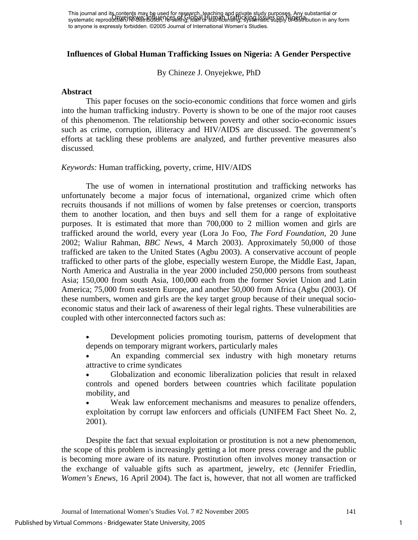### **Influences of Global Human Trafficking Issues on Nigeria: A Gender Perspective**

By Chineze J. Onyejekwe, PhD

#### **Abstract**

 This paper focuses on the socio-economic conditions that force women and girls into the human trafficking industry. Poverty is shown to be one of the major root causes of this phenomenon. The relationship between poverty and other socio-economic issues such as crime, corruption, illiteracy and HIV/AIDS are discussed. The government's efforts at tackling these problems are analyzed, and further preventive measures also discussed.

#### *Keywords:* Human trafficking, poverty, crime, HIV/AIDS

 The use of women in international prostitution and trafficking networks has unfortunately become a major focus of international, organized crime which often recruits thousands if not millions of women by false pretenses or coercion, transports them to another location, and then buys and sell them for a range of exploitative purposes. It is estimated that more than 700,000 to 2 million women and girls are trafficked around the world, every year (Lora Jo Foo, *The Ford Foundation,* 20 June 2002; Waliur Rahman, *BBC News*, 4 March 2003). Approximately 50,000 of those trafficked are taken to the United States (Agbu 2003). A conservative account of people trafficked to other parts of the globe, especially western Europe, the Middle East, Japan, North America and Australia in the year 2000 included 250,000 persons from southeast Asia; 150,000 from south Asia, 100,000 each from the former Soviet Union and Latin America; 75,000 from eastern Europe, and another 50,000 from Africa (Agbu (2003). Of these numbers, women and girls are the key target group because of their unequal socioeconomic status and their lack of awareness of their legal rights. These vulnerabilities are coupled with other interconnected factors such as:

• Development policies promoting tourism, patterns of development that depends on temporary migrant workers, particularly males

An expanding commercial sex industry with high monetary returns attractive to crime syndicates

• Globalization and economic liberalization policies that result in relaxed controls and opened borders between countries which facilitate population mobility, and

Weak law enforcement mechanisms and measures to penalize offenders, exploitation by corrupt law enforcers and officials (UNIFEM Fact Sheet No. 2, 2001).

 Despite the fact that sexual exploitation or prostitution is not a new phenomenon, the scope of this problem is increasingly getting a lot more press coverage and the public is becoming more aware of its nature. Prostitution often involves money transaction or the exchange of valuable gifts such as apartment, jewelry, etc (Jennifer Friedlin, *Women's Enews*, 16 April 2004). The fact is, however, that not all women are trafficked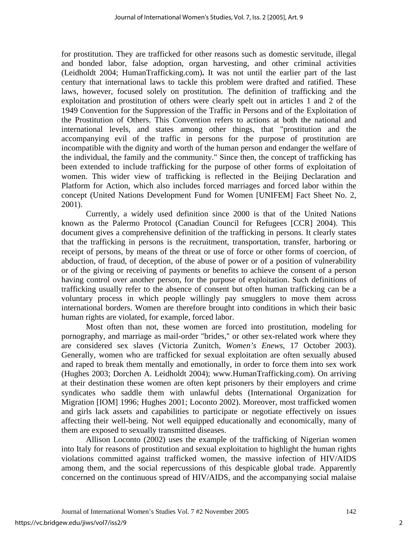for prostitution. They are trafficked for other reasons such as domestic servitude, illegal and bonded labor, false adoption, organ harvesting, and other criminal activities (Leidholdt 2004; HumanTrafficking.com)**.** It was not until the earlier part of the last century that international laws to tackle this problem were drafted and ratified. These laws, however, focused solely on prostitution. The definition of trafficking and the exploitation and prostitution of others were clearly spelt out in articles 1 and 2 of the 1949 Convention for the Suppression of the Traffic in Persons and of the Exploitation of the Prostitution of Others. This Convention refers to actions at both the national and international levels, and states among other things, that "prostitution and the accompanying evil of the traffic in persons for the purpose of prostitution are incompatible with the dignity and worth of the human person and endanger the welfare of the individual, the family and the community." Since then, the concept of trafficking has been extended to include trafficking for the purpose of other forms of exploitation of women. This wider view of trafficking is reflected in the Beijing Declaration and Platform for Action, which also includes forced marriages and forced labor within the concept (United Nations Development Fund for Women [UNIFEM] Fact Sheet No. 2, 2001).

 Currently, a widely used definition since 2000 is that of the United Nations known as the Palermo Protocol (Canadian Council for Refugees [CCR] 2004). This document gives a comprehensive definition of the trafficking in persons. It clearly states that the trafficking in persons is the recruitment, transportation, transfer, harboring or receipt of persons, by means of the threat or use of force or other forms of coercion, of abduction, of fraud, of deception, of the abuse of power or of a position of vulnerability or of the giving or receiving of payments or benefits to achieve the consent of a person having control over another person, for the purpose of exploitation. Such definitions of trafficking usually refer to the absence of consent but often human trafficking can be a voluntary process in which people willingly pay smugglers to move them across international borders. Women are therefore brought into conditions in which their basic human rights are violated, for example, forced labor.

 Most often than not, these women are forced into prostitution, modeling for pornography, and marriage as mail-order "brides," or other sex-related work where they are considered sex slaves (Victoria Zunitch, *Women's Enews*, 17 October 2003). Generally, women who are trafficked for sexual exploitation are often sexually abused and raped to break them mentally and emotionally, in order to force them into sex work (Hughes 2003; Dorchen A. Leidholdt 2004); www.HumanTrafficking.com). On arriving at their destination these women are often kept prisoners by their employers and crime syndicates who saddle them with unlawful debts (International Organization for Migration [IOM] 1996; Hughes 2001; Loconto 2002). Moreover, most trafficked women and girls lack assets and capabilities to participate or negotiate effectively on issues affecting their well-being. Not well equipped educationally and economically, many of them are exposed to sexually transmitted diseases.

[Allison Loconto](http://us.f322.mail.yahoo.com/ym/Compose?To=locontoa@yahoo.com) (2002) uses the example of the trafficking of Nigerian women into Italy for reasons of prostitution and sexual exploitation to highlight the human rights violations committed against trafficked women, the massive infection of HIV/AIDS among them, and the social repercussions of this despicable global trade. Apparently concerned on the continuous spread of HIV/AIDS, and the accompanying social malaise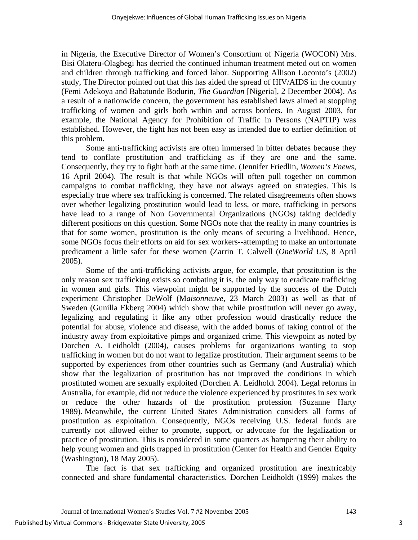in Nigeria, the Executive Director of Women's Consortium of Nigeria (WOCON) Mrs. Bisi Olateru-Olagbegi has decried the continued inhuman treatment meted out on women and children through trafficking and forced labor. Supporting [Allison Loconto](http://us.f322.mail.yahoo.com/ym/Compose?To=locontoa@yahoo.com)'s (2002) study, The Director pointed out that this has aided the spread of HIV/AIDS in the country (Femi Adekoya and Babatunde Bodurin, *The Guardian* [Nigeria], 2 December 2004). As a result of a nationwide concern, the government has established laws aimed at stopping trafficking of women and girls both within and across borders. In August 2003, for example, the National Agency for Prohibition of Traffic in Persons (NAPTIP) was established. However, the fight has not been easy as intended due to earlier definition of this problem.

 Some anti-trafficking activists are often immersed in bitter debates because they tend to conflate prostitution and trafficking as if they are one and the same. Consequently, they try to fight both at the same time. (Jennifer Friedlin, *Women's Enews*, 16 April 2004). The result is that while NGOs will often pull together on common campaigns to combat trafficking, they have not always agreed on strategies. This is especially true where sex trafficking is concerned. The related disagreements often shows over whether legalizing prostitution would lead to less, or more, trafficking in persons have lead to a range of Non Governmental Organizations (NGOs) taking decidedly different positions on this question. Some NGOs note that the reality in many countries is that for some women, prostitution is the only means of securing a livelihood. Hence, some NGOs focus their efforts on aid for sex workers--attempting to make an unfortunate predicament a little safer for these women (Zarrin T. Calwell (*OneWorld US*, 8 April 2005).

 Some of the anti-trafficking activists argue, for example, that prostitution is the only reason sex trafficking exists so combating it is, the only way to eradicate trafficking in women and girls. This viewpoint might be supported by the success of the Dutch experiment Christopher DeWolf (M*aisonneuve*, 23 March 2003) as well as that of Sweden (Gunilla Ekberg 2004) which show that while prostitution will never go away, legalizing and regulating it like any other profession would drastically reduce the potential for abuse, violence and disease, with the added bonus of taking control of the industry away from exploitative pimps and organized crime. This viewpoint as noted by Dorchen A. Leidholdt (2004), causes problems for organizations wanting to stop trafficking in women but do not want to legalize prostitution. Their argument seems to be supported by experiences from other countries such as Germany (and Australia) which show that the legalization of prostitution has not improved the conditions in which prostituted women are sexually exploited (Dorchen A. Leidholdt 2004). Legal reforms in Australia, for example, did not reduce the violence experienced by prostitutes in sex work or reduce the other hazards of the prostitution profession (Suzanne Harty 1989). Meanwhile, the current United States Administration considers all forms of prostitution as exploitation. Consequently, NGOs receiving U.S. federal funds are currently not allowed either to promote, support, or advocate for the legalization or practice of prostitution. This is considered in some quarters as hampering their ability to help young women and girls trapped in prostitution (Center for Health and Gender Equity (Washington), 18 May 2005).

 The fact is that sex trafficking and organized prostitution are inextricably connected and share fundamental characteristics. Dorchen Leidholdt (1999) makes the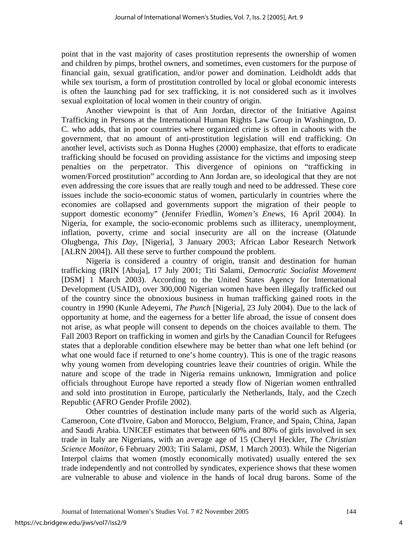point that in the vast majority of cases prostitution represents the ownership of women and children by pimps, brothel owners, and sometimes, even customers for the purpose of financial gain, sexual gratification, and/or power and domination. Leidholdt adds that while sex tourism, a form of prostitution controlled by local or global economic interests is often the launching pad for sex trafficking, it is not considered such as it involves sexual exploitation of local women in their country of origin.

 Another viewpoint is that of Ann Jordan, director of the Initiative Against Trafficking in Persons at the International Human Rights Law Group in Washington, D. C. who adds, that in poor countries where organized crime is often in cahoots with the government, that no amount of anti-prostitution legislation will end trafficking. On another level, activists such as Donna Hughes (2000) emphasize, that efforts to eradicate trafficking should be focused on providing assistance for the victims and imposing steep penalties on the perpetrator. This divergence of opinions on "trafficking in women/Forced prostitution" according to Ann Jordan are, so ideological that they are not even addressing the core issues that are really tough and need to be addressed. These core issues include the socio-economic status of women, particularly in countries where the economies are collapsed and governments support the migration of their people to support domestic economy" (Jennifer Friedlin, *Women's Enews*, 16 April 2004). In Nigeria, for example, the socio-economic problems such as illiteracy, unemployment, inflation, poverty, crime and social insecurity are all on the increase (Olatunde Olugbenga, *This Day*, [Nigeria], 3 January 2003; African Labor Research Network [ALRN 2004]). All these serve to further compound the problem.

 Nigeria is considered a country of origin, transit and destination for human trafficking (IRIN [Abuja], 17 July 2001; Titi Salami, *Democratic Socialist Movement* [DSM] 1 March 2003). According to the United States Agency for International Development (USAID), over 300,000 Nigerian women have been illegally trafficked out of the country since the obnoxious business in human trafficking gained roots in the country in 1990 (Kunle Adeyemi, *The Punch* [Nigeria], 23 July 2004). Due to the lack of opportunity at home, and the eagerness for a better life abroad, the issue of consent does not arise, as what people will consent to depends on the choices available to them. The Fall 2003 Report on trafficking in women and girls by the Canadian Council for Refugees states that a deplorable condition elsewhere may be better than what one left behind (or what one would face if returned to one's home country). This is one of the tragic reasons why young women from developing countries leave their countries of origin. While the nature and scope of the trade in Nigeria remains unknown, Immigration and police officials throughout Europe have reported a steady flow of Nigerian women enthralled and sold into prostitution in Europe, particularly the Netherlands, Italy, and the Czech Republic (AFRO Gender Profile 2002).

 Other countries of destination include many parts of the world such as Algeria, Cameroon, Cote d'Ivoire, Gabon and Morocco, Belgium, France, and Spain, China, Japan and Saudi Arabia. UNICEF estimates that between 60% and 80% of girls involved in sex trade in Italy are Nigerians, with an average age of 15 (Cheryl Heckler, *The Christian Science Monitor*, 6 February 2003; Titi Salami, *DSM*, 1 March 2003). While the Nigerian Interpol claims that women (mostly economically motivated) usually entered the sex trade independently and not controlled by syndicates, experience shows that these women are vulnerable to abuse and violence in the hands of local drug barons. Some of the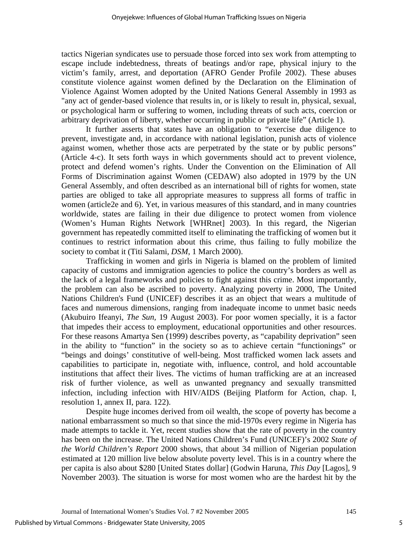tactics Nigerian syndicates use to persuade those forced into sex work from attempting to escape include indebtedness, threats of beatings and/or rape, physical injury to the victim's family, arrest, and deportation (AFRO Gender Profile 2002). These abuses constitute violence against women defined by the Declaration on the Elimination of Violence Against Women adopted by the United Nations General Assembly in 1993 as "any act of gender-based violence that results in, or is likely to result in, physical, sexual, or psychological harm or suffering to women, including threats of such acts, coercion or arbitrary deprivation of liberty, whether occurring in public or private life" (Article 1).

 It further asserts that states have an obligation to "exercise due diligence to prevent, investigate and, in accordance with national legislation, punish acts of violence against women, whether those acts are perpetrated by the state or by public persons" (Article 4-c). It sets forth ways in which governments should act to prevent violence, protect and defend women's rights. Under the Convention on the Elimination of All Forms of Discrimination against Women (CEDAW) also adopted in 1979 by the UN General Assembly, and often described as an international bill of rights for women, state parties are obliged to take all appropriate measures to suppress all forms of traffic in women (article2e and 6). Yet, in various measures of this standard, and in many countries worldwide, states are failing in their due diligence to protect women from violence (Women's Human Rights Network [WHRnet] 2003). In this regard, the Nigerian government has repeatedly committed itself to eliminating the trafficking of women but it continues to restrict information about this crime, thus failing to fully mobilize the society to combat it (Titi Salami, *DSM*, 1 March 2000).

 Trafficking in women and girls in Nigeria is blamed on the problem of limited capacity of customs and immigration agencies to police the country's borders as well as the lack of a legal frameworks and policies to fight against this crime. Most importantly, the problem can also be ascribed to poverty. Analyzing poverty in 2000, The United Nations Children's Fund (UNICEF) describes it as an object that wears a multitude of faces and numerous dimensions, ranging from inadequate income to unmet basic needs (Akubuiro Ifeanyi, *The Sun,* 19 August 2003). For poor women specially, it is a factor that impedes their access to employment, educational opportunities and other resources. For these reasons Amartya Sen (1999) describes poverty, as "capability deprivation" seen in the ability to "function" in the society so as to achieve certain "functionings" or "beings and doings' constitutive of well-being. Most trafficked women lack assets and capabilities to participate in, negotiate with, influence, control, and hold accountable institutions that affect their lives. The victims of human trafficking are at an increased risk of further violence, as well as unwanted pregnancy and sexually transmitted infection, including infection with HIV/AIDS (Beijing Platform for Action, chap. I, resolution 1, annex II, para. 122).

 Despite huge incomes derived from oil wealth, the scope of poverty has become a national embarrassment so much so that since the mid-1970s every regime in Nigeria has made attempts to tackle it. Yet, recent studies show that the rate of poverty in the country has been on the increase. The United Nations Children's Fund (UNICEF)'s 2002 *State of the World Children's Report* 2000 shows, that about 34 million of Nigerian population estimated at 120 million live below absolute poverty level. This is in a country where the per capita is also about \$280 [United States dollar] (Godwin Haruna, *This Day* [Lagos], 9 November 2003). The situation is worse for most women who are the hardest hit by the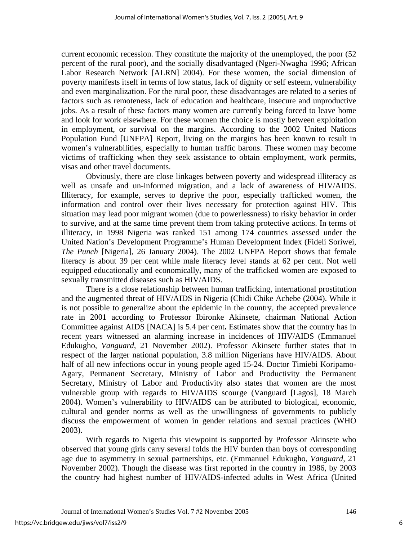current economic recession. They constitute the majority of the unemployed, the poor (52 percent of the rural poor), and the socially disadvantaged (Ngeri-Nwagha 1996; African Labor Research Network [ALRN] 2004). For these women, the social dimension of poverty manifests itself in terms of low status, lack of dignity or self esteem, vulnerability and even marginalization. For the rural poor, these disadvantages are related to a series of factors such as remoteness, lack of education and healthcare, insecure and unproductive jobs. As a result of these factors many women are currently being forced to leave home and look for work elsewhere. For these women the choice is mostly between exploitation in employment, or survival on the margins. According to the 2002 United Nations Population Fund [UNFPA] Report, living on the margins has been known to result in women's vulnerabilities, especially to human traffic barons. These women may become victims of trafficking when they seek assistance to obtain employment, work permits, visas and other travel documents.

 Obviously, there are close linkages between poverty and widespread illiteracy as well as unsafe and un-informed migration, and a lack of awareness of HIV/AIDS. Illiteracy, for example, serves to deprive the poor, especially trafficked women, the information and control over their lives necessary for protection against HIV. This situation may lead poor migrant women (due to powerlessness) to risky behavior in order to survive, and at the same time prevent them from taking protective actions. In terms of illiteracy, in 1998 Nigeria was ranked 151 among 174 countries assessed under the United Nation's Development Programme's Human Development Index (Fideli Soriwei, *The Punch* [Nigeria], 26 January 2004). The 2002 UNFPA Report shows that female literacy is about 39 per cent while male literacy level stands at 62 per cent. Not well equipped educationally and economically, many of the trafficked women are exposed to sexually transmitted diseases such as HIV/AIDS.

 There is a close relationship between human trafficking, international prostitution and the augmented threat of HIV/AIDS in Nigeria (Chidi Chike Achebe (2004). While it is not possible to generalize about the epidemic in the country, the accepted prevalence rate in 2001 according to Professor Ibironke Akinsete, chairman National Action Committee against AIDS [NACA] is 5.4 per cent**.** Estimates show that the country has in recent years witnessed an alarming increase in incidences of HIV/AIDS (Emmanuel Edukugho, *Vanguard*, 21 November 2002). Professor Akinsete further states that in respect of the larger national population, 3.8 million Nigerians have HIV/AIDS. About half of all new infections occur in young people aged 15-24. Doctor Timiebi Koripamo-Agary, Permanent Secretary, Ministry of Labor and Productivity the Permanent Secretary, Ministry of Labor and Productivity also states that women are the most vulnerable group with regards to HIV/AIDS scourge (Vanguard [Lagos], 18 March 2004). Women's vulnerability to HIV/AIDS can be attributed to biological, economic, cultural and gender norms as well as the unwillingness of governments to publicly discuss the empowerment of women in gender relations and sexual practices (WHO 2003).

 With regards to Nigeria this viewpoint is supported by Professor Akinsete who observed that young girls carry several folds the HIV burden than boys of corresponding age due to asymmetry in sexual partnerships, etc. (Emmanuel Edukugho, *Vanguard*, 21 November 2002). Though the disease was first reported in the country in 1986, by 2003 the country had highest number of HIV/AIDS-infected adults in West Africa (United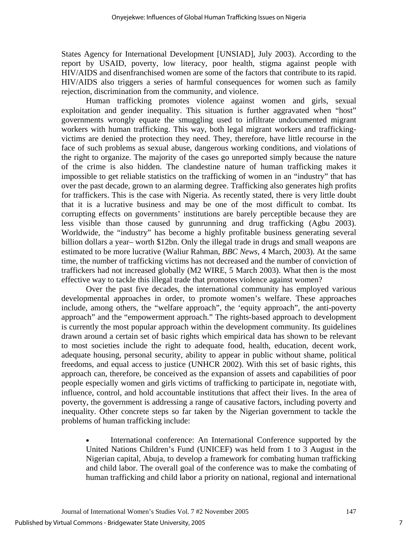States Agency for International Development [UNSIAD], July 2003). According to the report by USAID, poverty, low literacy, poor health, stigma against people with HIV/AIDS and disenfranchised women are some of the factors that contribute to its rapid. HIV/AIDS also triggers a series of harmful consequences for women such as family rejection, discrimination from the community, and violence.

 Human trafficking promotes violence against women and girls, sexual exploitation and gender inequality. This situation is further aggravated when "host" governments wrongly equate the smuggling used to infiltrate undocumented migrant workers with human trafficking. This way, both legal migrant workers and traffickingvictims are denied the protection they need. They, therefore, have little recourse in the face of such problems as sexual abuse, dangerous working conditions, and violations of the right to organize. The majority of the cases go unreported simply because the nature of the crime is also hidden. The clandestine nature of human trafficking makes it impossible to get reliable statistics on the trafficking of women in an "industry" that has over the past decade, grown to an alarming degree. Trafficking also generates high profits for traffickers. This is the case with Nigeria. As recently stated, there is very little doubt that it is a lucrative business and may be one of the most difficult to combat. Its corrupting effects on governments' institutions are barely perceptible because they are less visible than those caused by gunrunning and drug trafficking (Agbu 2003). Worldwide, the "industry" has become a highly profitable business generating several billion dollars a year– worth \$12bn. Only the illegal trade in drugs and small weapons are estimated to be more lucrative (Waliur Rahman, *BBC News*, 4 March, 2003). At the same time, the number of trafficking victims has not decreased and the number of conviction of traffickers had not increased globally (M2 WIRE, 5 March 2003). What then is the most effective way to tackle this illegal trade that promotes violence against women?

 Over the past five decades, the international community has employed various developmental approaches in order, to promote women's welfare. These approaches include, among others, the "welfare approach", the 'equity approach", the anti-poverty approach" and the "empowerment approach." The rights-based approach to development is currently the most popular approach within the development community. Its guidelines drawn around a certain set of basic rights which empirical data has shown to be relevant to most societies include the right to adequate food, health, education, decent work, adequate housing, personal security, ability to appear in public without shame, political freedoms, and equal access to justice (UNHCR 2002). With this set of basic rights, this approach can, therefore, be conceived as the expansion of assets and capabilities of poor people especially women and girls victims of trafficking to participate in, negotiate with, influence, control, and hold accountable institutions that affect their lives. In the area of poverty, the government is addressing a range of causative factors, including poverty and inequality. Other concrete steps so far taken by the Nigerian government to tackle the problems of human trafficking include:

International conference: An International Conference supported by the United Nations Children's Fund (UNICEF) was held from 1 to 3 August in the Nigerian capital, Abuja, to develop a framework for combating human trafficking and child labor. The overall goal of the conference was to make the combating of human trafficking and child labor a priority on national, regional and international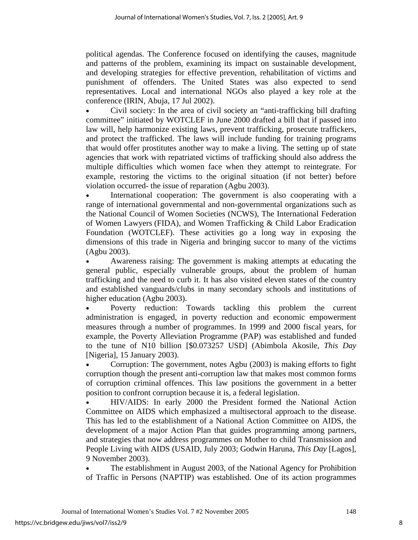political agendas. The Conference focused on identifying the causes, magnitude and patterns of the problem, examining its impact on sustainable development, and developing strategies for effective prevention, rehabilitation of victims and punishment of offenders. The United States was also expected to send representatives. Local and international NGOs also played a key role at the conference (IRIN, Abuja, 17 Jul 2002).

• Civil society: In the area of civil society an "anti-trafficking bill drafting committee" initiated by WOTCLEF in June 2000 drafted a bill that if passed into law will, help harmonize existing laws, prevent trafficking, prosecute traffickers, and protect the trafficked. The laws will include funding for training programs that would offer prostitutes another way to make a living. The setting up of state agencies that work with repatriated victims of trafficking should also address the multiple difficulties which women face when they attempt to reintegrate. For example, restoring the victims to the original situation (if not better) before violation occurred- the issue of reparation (Agbu 2003).

International cooperation: The government is also cooperating with a range of international governmental and non-governmental organizations such as the National Council of Women Societies (NCWS), The International Federation of Women Lawyers (FIDA), and Women Trafficking & Child Labor Eradication Foundation (WOTCLEF). These activities go a long way in exposing the dimensions of this trade in Nigeria and bringing succor to many of the victims (Agbu 2003).

• Awareness raising: The government is making attempts at educating the general public, especially vulnerable groups, about the problem of human trafficking and the need to curb it. It has also visited eleven states of the country and established vanguards/clubs in many secondary schools and institutions of higher education (Agbu 2003).

• Poverty reduction: Towards tackling this problem the current administration is engaged, in poverty reduction and economic empowerment measures through a number of programmes. In 1999 and 2000 fiscal years, for example, the Poverty Alleviation Programme (PAP) was established and funded to the tune of N10 billion [\$0.073257 USD] (Abimbola Akosile, *This Day* [Nigeria], 15 January 2003).

• Corruption: The government, notes Agbu (2003) is making efforts to fight corruption though the present anti-corruption law that makes most common forms of corruption criminal offences. This law positions the government in a better position to confront corruption because it is, a federal legislation.

• HIV/AIDS: In early 2000 the President formed the National Action Committee on AIDS which emphasized a multisectoral approach to the disease. This has led to the establishment of a National Action Committee on AIDS, the development of a major Action Plan that guides programming among partners, and strategies that now address programmes on Mother to child Transmission and People Living with AIDS (USAID, July 2003; Godwin Haruna, *This Day* [Lagos], 9 November 2003).

The establishment in August 2003, of the National Agency for Prohibition of Traffic in Persons (NAPTIP) was established. One of its action programmes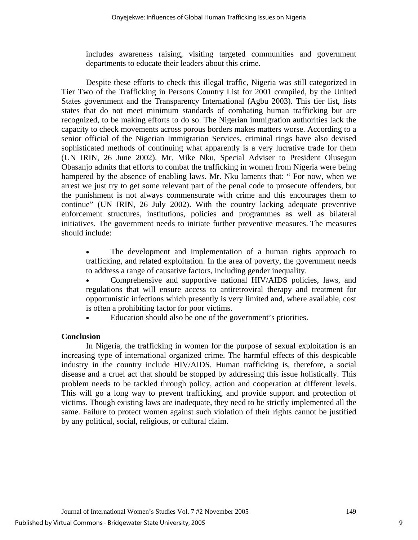includes awareness raising, visiting targeted communities and government departments to educate their leaders about this crime.

 Despite these efforts to check this illegal traffic, Nigeria was still categorized in Tier Two of the Trafficking in Persons Country List for 2001 compiled, by the United States government and the Transparency International (Agbu 2003). This tier list, lists states that do not meet minimum standards of combating human trafficking but are recognized, to be making efforts to do so. The Nigerian immigration authorities lack the capacity to check movements across porous borders makes matters worse. According to a senior official of the Nigerian Immigration Services, criminal rings have also devised sophisticated methods of continuing what apparently is a very lucrative trade for them (UN IRIN, 26 June 2002). Mr. Mike Nku, Special Adviser to President Olusegun Obasanjo admits that efforts to combat the trafficking in women from Nigeria were being hampered by the absence of enabling laws. Mr. Nku laments that: " For now, when we arrest we just try to get some relevant part of the penal code to prosecute offenders, but the punishment is not always commensurate with crime and this encourages them to continue" (UN IRIN, 26 July 2002). With the country lacking adequate preventive enforcement structures, institutions, policies and programmes as well as bilateral initiatives. The government needs to initiate further preventive measures. The measures should include:

The development and implementation of a human rights approach to trafficking, and related exploitation. In the area of poverty, the government needs to address a range of causative factors, including gender inequality.

• Comprehensive and supportive national HIV/AIDS policies, laws, and regulations that will ensure access to antiretroviral therapy and treatment for opportunistic infections which presently is very limited and, where available, cost is often a prohibiting factor for poor victims.

Education should also be one of the government's priorities.

## **Conclusion**

 In Nigeria, the trafficking in women for the purpose of sexual exploitation is an increasing type of international organized crime. The harmful effects of this despicable industry in the country include HIV/AIDS. Human trafficking is, therefore, a social disease and a cruel act that should be stopped by addressing this issue holistically. This problem needs to be tackled through policy, action and cooperation at different levels. This will go a long way to prevent trafficking, and provide support and protection of victims. Though existing laws are inadequate, they need to be strictly implemented all the same. Failure to protect women against such violation of their rights cannot be justified by any political, social, religious, or cultural claim.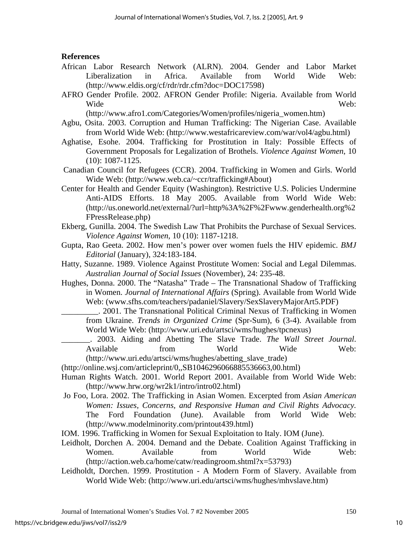## **References**

- African Labor Research Network (ALRN). 2004. Gender and Labor Market Liberalization in Africa. Available from World Wide Web: (<http://www.eldis.org/cf/rdr/rdr.cfm?doc=DOC17598>)
- AFRO Gender Profile. 2002. AFRON Gender Profile: Nigeria. Available from World Wide Web:

(http://www.afro1.com/Categories/Women/profiles/nigeria\_women.htm)

- Agbu, Osita. 2003. Corruption and Human Trafficking: The Nigerian Case. Available from World Wide Web: (http://www.westafricareview.com/war/vol4/agbu.html)
- Aghatise, Esohe. 2004. Trafficking for Prostitution in Italy: Possible Effects of Government Proposals for Legalization of Brothels. *Violence Against Women*, 10 (10): 1087-1125.
- Canadian Council for Refugees (CCR). 2004. Trafficking in Women and Girls. World Wide Web: (http://www.web.ca/~ccr/trafficking#About)
- Center for Health and Gender Equity (Washington). Restrictive U.S. Policies Undermine Anti-AIDS Efforts. 18 May 2005. Available from World Wide Web: (http://us.oneworld.net/external/?url=http%3A%2F%2Fwww.genderhealth.org%2 FPressRelease.php)
- Ekberg, Gunilla. 2004. The Swedish Law That Prohibits the Purchase of Sexual Services. *Violence Against Women*, 10 (10): 1187-1218.
- Gupta, Rao Geeta. 2002. How men's power over women fuels the HIV epidemic. *BMJ Editorial* (January), 324:183-184.
- Hatty, Suzanne. 1989. Violence Against Prostitute Women: Social and Legal Dilemmas. *Australian Journal of Social Issues* (November), 24: 235-48.
- Hughes, Donna. 2000. The "Natasha" Trade The Transnational Shadow of Trafficking in Women. *Journal of International Affairs* (Spring). Available from World Wide Web: (www.sfhs.com/teachers/padaniel/Slavery/SexSlaveryMajorArt5.PDF)
	- \_\_\_\_\_\_\_\_\_. 2001. The Transnational Political Criminal Nexus of Trafficking in Women from Ukraine. *Trends in Organized Crime* (Spr-Sum), 6 (3-4). Available from World Wide Web: (http://www.uri.edu/artsci/wms/hughes/tpcnexus)
	- \_\_\_\_\_\_\_. 2003. Aiding and Abetting The Slave Trade. *The Wall Street Journal*. Available from World Wide Web: (http://www.uri.edu/artsci/wms/hughes/abetting\_slave\_trade)
- (http://online.wsj.com/articleprint/0,,SB1046296066885536663,00.html)
- Human Rights Watch. 2001. World Report 2001. Available from World Wide Web: (<http://www.hrw.org/wr2k1/intro/intro02.html>)
- Jo Foo, Lora. 2002. The Trafficking in Asian Women. Excerpted from *Asian American Women: Issues, Concerns, and Responsive Human and Civil Rights Advocacy.*  The Ford Foundation (June). Available from World Wide Web: (http://www.modelminority.com/printout439.html)
- IOM. 1996. Trafficking in Women for Sexual Exploitation to Italy. IOM (June).
- Leidholt, Dorchen A. 2004. Demand and the Debate. Coalition Against Trafficking in Women. Available from World Wide Web: (http://action.web.ca/home/catw/readingroom.shtml?x=53793)
- Leidholdt, Dorchen. 1999. Prostitution A Modern Form of Slavery. Available from World Wide Web: ([http://www.uri.edu/artsci/wms/hughes/mhvslave.htm\)](http://www.uri.edu/artsci/wms/hughes/mhvslave.htm)